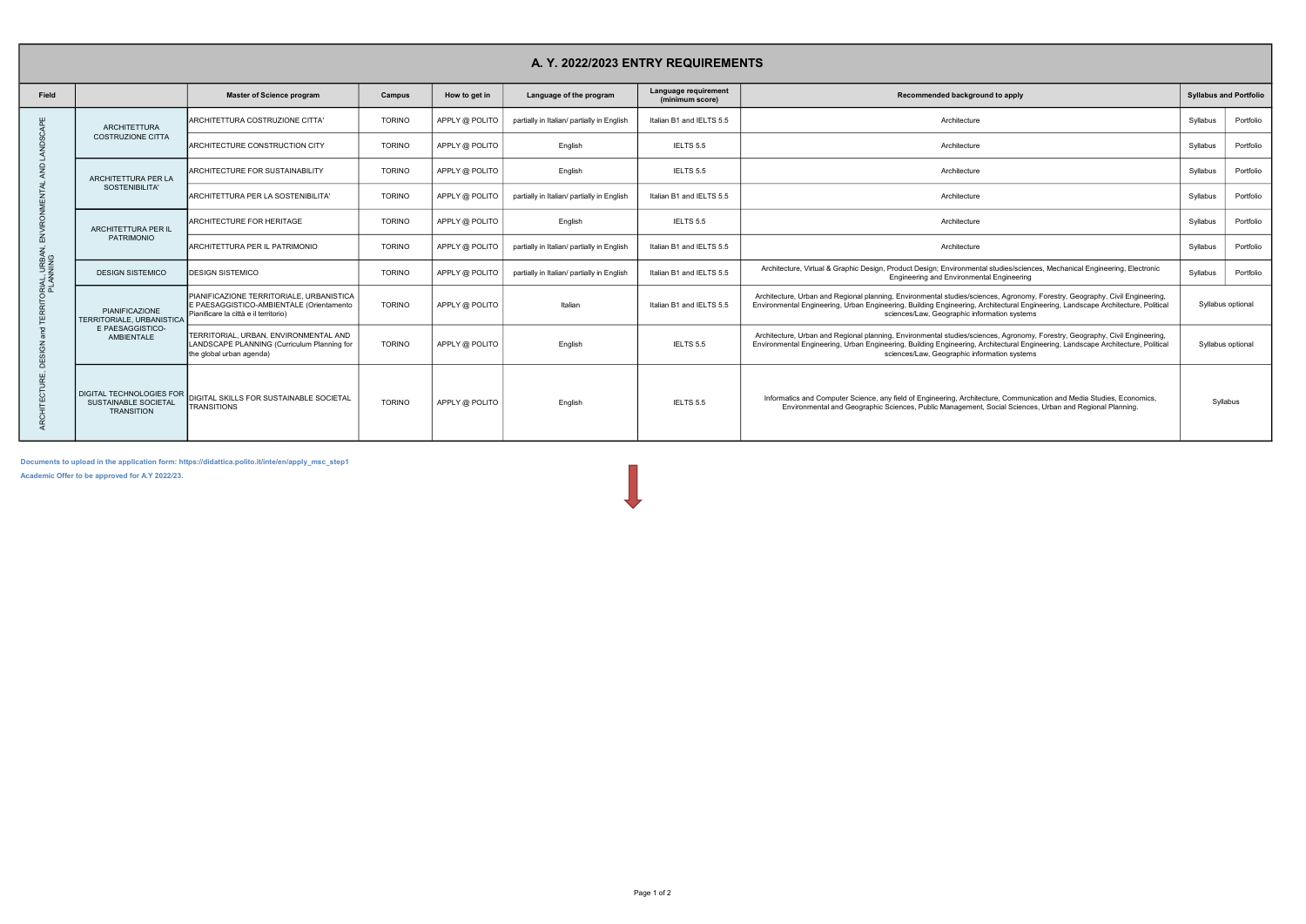| A. Y. 2022/2023 ENTRY REQUIREMENTS                  |                                                                                             |                                                                                                                               |               |                |                                            |                                         |                                                                                                                                                                                                                                                                                                                  |                               |  |  |  |  |  |  |
|-----------------------------------------------------|---------------------------------------------------------------------------------------------|-------------------------------------------------------------------------------------------------------------------------------|---------------|----------------|--------------------------------------------|-----------------------------------------|------------------------------------------------------------------------------------------------------------------------------------------------------------------------------------------------------------------------------------------------------------------------------------------------------------------|-------------------------------|--|--|--|--|--|--|
| Field                                               |                                                                                             | <b>Master of Science program</b>                                                                                              | Campus        | How to get in  | Language of the program                    | Language requirement<br>(minimum score) | Recommended background to apply                                                                                                                                                                                                                                                                                  | <b>Syllabus and Portfolio</b> |  |  |  |  |  |  |
| Ğ<br>ø<br>$\cap$                                    | <b>ARCHITETTURA</b><br><b>COSTRUZIONE CITTA</b>                                             | ARCHITETTURA COSTRUZIONE CITTA'                                                                                               | <b>TORINO</b> | APPLY @ POLITO | partially in Italian/ partially in English | Italian B1 and IELTS 5.5                | Architecture                                                                                                                                                                                                                                                                                                     | Portfolio<br>Syllabus         |  |  |  |  |  |  |
|                                                     |                                                                                             | <b>ARCHITECTURE CONSTRUCTION CITY</b>                                                                                         | <b>TORINO</b> | APPLY @ POLITO | English                                    | IELTS 5.5                               | Architecture                                                                                                                                                                                                                                                                                                     | Portfolio<br>Syllabus         |  |  |  |  |  |  |
|                                                     | ARCHITETTURA PER LA<br>SOSTENIBILITA'                                                       | <b>ARCHITECTURE FOR SUSTAINABILITY</b>                                                                                        | <b>TORINO</b> | APPLY @ POLITO | English                                    | IELTS 5.5                               | Architecture                                                                                                                                                                                                                                                                                                     | Portfolio<br>Syllabus         |  |  |  |  |  |  |
|                                                     |                                                                                             | ARCHITETTURA PER LA SOSTENIBILITA'                                                                                            | <b>TORINO</b> | APPLY @ POLITO | partially in Italian/ partially in English | Italian B1 and IELTS 5.5                | Architecture                                                                                                                                                                                                                                                                                                     | Portfolio<br>Syllabus         |  |  |  |  |  |  |
|                                                     | ARCHITETTURA PER IL                                                                         | <b>ARCHITECTURE FOR HERITAGE</b>                                                                                              | <b>TORINO</b> | APPLY @ POLITO | English                                    | IELTS 5.5                               | Architecture                                                                                                                                                                                                                                                                                                     | Portfolio<br>Syllabus         |  |  |  |  |  |  |
| 靣<br>)RIAL, URBAN, I<br>PLANNING<br>ن<br>тīг<br>្លុ | <b>PATRIMONIO</b>                                                                           | ARCHITETTURA PER IL PATRIMONIO                                                                                                | <b>TORINO</b> | APPLY @ POLITO | partially in Italian/ partially in English | Italian B1 and IELTS 5.5                | Architecture                                                                                                                                                                                                                                                                                                     | Portfolio<br>Syllabus         |  |  |  |  |  |  |
|                                                     | <b>DESIGN SISTEMICO</b>                                                                     | <b>IDESIGN SISTEMICO</b>                                                                                                      | <b>TORINO</b> | APPLY @ POLITO | partially in Italian/ partially in English | Italian B1 and IELTS 5.5                | Architecture, Virtual & Graphic Design, Product Design; Environmental studies/sciences, Mechanical Engineering, Electronic<br><b>Engineering and Environmental Engineering</b>                                                                                                                                   | Portfolio<br>Syllabus         |  |  |  |  |  |  |
|                                                     | PIANIFICAZIONE<br><b>TERRITORIALE, URBANISTICA</b><br>E PAESAGGISTICO-<br><b>AMBIENTALE</b> | PIANIFICAZIONE TERRITORIALE, URBANISTICA<br>E PAESAGGISTICO-AMBIENTALE (Orientamento<br>Pianificare la città e il territorio) | <b>TORINO</b> | APPLY @ POLITO | Italian                                    | Italian B1 and IELTS 5.5                | Architecture, Urban and Regional planning, Environmental studies/sciences, Agronomy, Forestry, Geography, Civil Engineering,<br>Environmental Engineering, Urban Engineering, Building Engineering, Architectural Engineering, Landscape Architecture, Political<br>sciences/Law, Geographic information systems | Syllabus optional             |  |  |  |  |  |  |
|                                                     |                                                                                             | TERRITORIAL, URBAN, ENVIRONMENTAL AND<br>LANDSCAPE PLANNING (Curriculum Planning for<br>the global urban agenda)              | <b>TORINO</b> | APPLY @ POLITO | English                                    | IELTS 5.5                               | Architecture, Urban and Regional planning, Environmental studies/sciences, Agronomy, Forestry, Geography, Civil Engineering,<br>Environmental Engineering, Urban Engineering, Building Engineering, Architectural Engineering, Landscape Architecture, Political<br>sciences/Law, Geographic information systems | Syllabus optional             |  |  |  |  |  |  |
|                                                     | <b>DIGITAL TECHNOLOGIES FOR</b><br>SUSTAINABLE SOCIETAL<br><b>TRANSITION</b>                | DIGITAL SKILLS FOR SUSTAINABLE SOCIETAL<br><b>TRANSITIONS</b>                                                                 | <b>TORINO</b> | APPLY @ POLITO | English                                    | IELTS 5.5                               | Informatics and Computer Science, any field of Engineering, Architecture, Communication and Media Studies, Economics,<br>Environmental and Geographic Sciences, Public Management, Social Sciences, Urban and Regional Planning.                                                                                 | Syllabus                      |  |  |  |  |  |  |

Academic Offer to be approved for A.Y 2022/23.

Documents to upload in the application form: https://didattica.polito.it/inte/en/apply\_msc\_step1